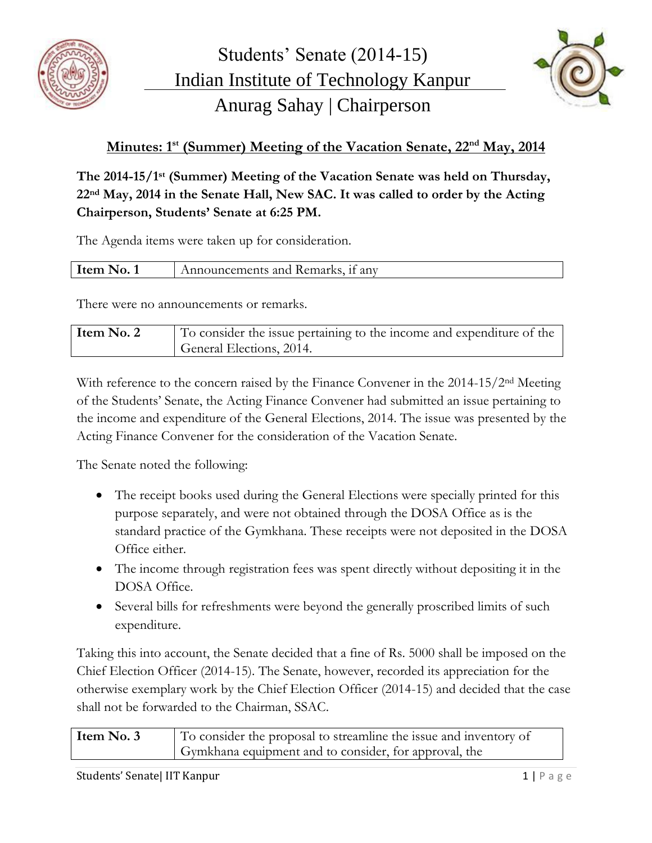



## **Minutes: 1 st (Summer) Meeting of the Vacation Senate, 22nd May, 2014**

**The 2014-15/1 st (Summer) Meeting of the Vacation Senate was held on Thursday, 22nd May, 2014 in the Senate Hall, New SAC. It was called to order by the Acting Chairperson, Students' Senate at 6:25 PM.**

The Agenda items were taken up for consideration.

| Item l | Announcements and Remarks, if any |
|--------|-----------------------------------|
|        |                                   |

There were no announcements or remarks.

| Item No. 2 | To consider the issue pertaining to the income and expenditure of the |
|------------|-----------------------------------------------------------------------|
|            | General Elections, 2014.                                              |

With reference to the concern raised by the Finance Convener in the 2014-15/2<sup>nd</sup> Meeting of the Students' Senate, the Acting Finance Convener had submitted an issue pertaining to the income and expenditure of the General Elections, 2014. The issue was presented by the Acting Finance Convener for the consideration of the Vacation Senate.

The Senate noted the following:

- The receipt books used during the General Elections were specially printed for this purpose separately, and were not obtained through the DOSA Office as is the standard practice of the Gymkhana. These receipts were not deposited in the DOSA Office either.
- The income through registration fees was spent directly without depositing it in the DOSA Office.
- Several bills for refreshments were beyond the generally proscribed limits of such expenditure.

Taking this into account, the Senate decided that a fine of Rs. 5000 shall be imposed on the Chief Election Officer (2014-15). The Senate, however, recorded its appreciation for the otherwise exemplary work by the Chief Election Officer (2014-15) and decided that the case shall not be forwarded to the Chairman, SSAC.

| Item No. 3 | To consider the proposal to streamline the issue and inventory of |
|------------|-------------------------------------------------------------------|
|            | Gymkhana equipment and to consider, for approval, the             |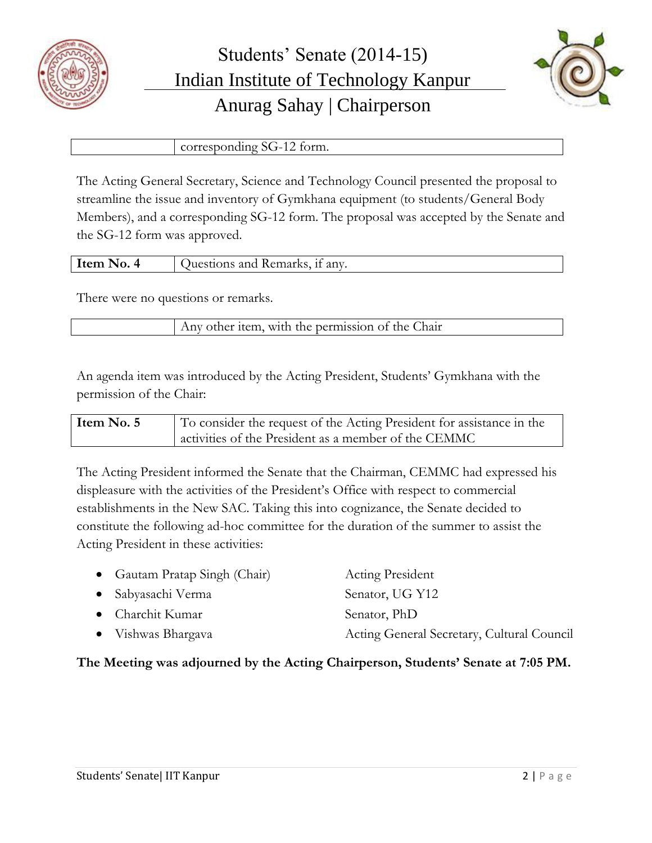



corresponding SG-12 form.

The Acting General Secretary, Science and Technology Council presented the proposal to streamline the issue and inventory of Gymkhana equipment (to students/General Body Members), and a corresponding SG-12 form. The proposal was accepted by the Senate and the SG-12 form was approved.

| . 12 T | ___ | Hom | $\cdot$ $\sim$<br>the company of the company of the<br>an <sub>V</sub><br>Rem<br>. |
|--------|-----|-----|------------------------------------------------------------------------------------|
|--------|-----|-----|------------------------------------------------------------------------------------|

There were no questions or remarks.

Any other item, with the permission of the Chair

An agenda item was introduced by the Acting President, Students' Gymkhana with the permission of the Chair:

**Item No. 5** To consider the request of the Acting President for assistance in the activities of the President as a member of the CEMMC

The Acting President informed the Senate that the Chairman, CEMMC had expressed his displeasure with the activities of the President's Office with respect to commercial establishments in the New SAC. Taking this into cognizance, the Senate decided to constitute the following ad-hoc committee for the duration of the summer to assist the Acting President in these activities:

| • Gautam Pratap Singh (Chair) | <b>Acting President</b>                    |
|-------------------------------|--------------------------------------------|
| • Sabyasachi Verma            | Senator, UG Y12                            |
| • Charchit Kumar              | Senator, PhD                               |
| • Vishwas Bhargava            | Acting General Secretary, Cultural Council |

## **The Meeting was adjourned by the Acting Chairperson, Students' Senate at 7:05 PM.**